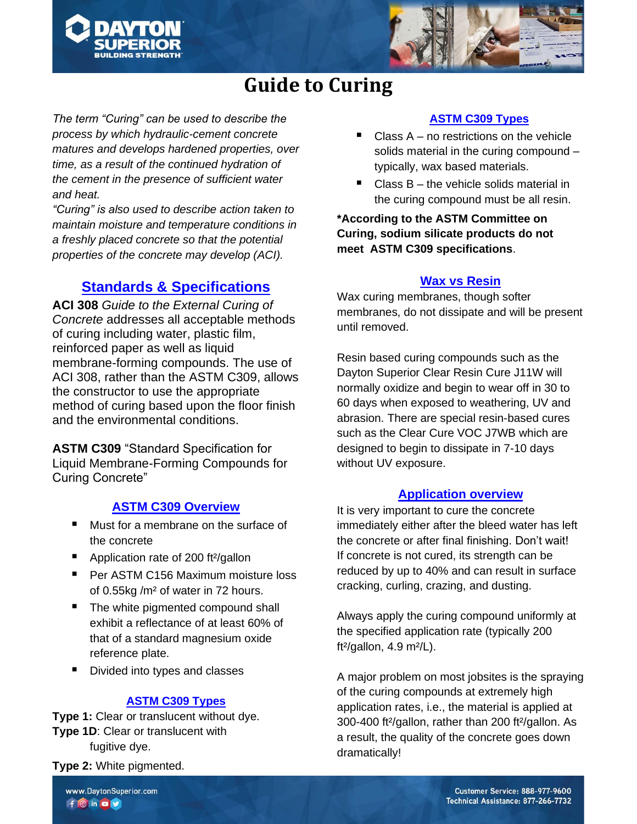



## **Guide to Curing**

*The term "Curing" can be used to describe the process by which hydraulic-cement concrete matures and develops hardened properties, over time, as a result of the continued hydration of the cement in the presence of sufficient water and heat.* 

*"Curing" is also used to describe action taken to maintain moisture and temperature conditions in a freshly placed concrete so that the potential properties of the concrete may develop (ACI).*

## **Standards & Specifications**

**ACI 308** *Guide to the External Curing of Concrete* addresses all acceptable methods of curing including water, plastic film, reinforced paper as well as liquid membrane-forming compounds. The use of ACI 308, rather than the ASTM C309, allows the constructor to use the appropriate method of curing based upon the floor finish and the environmental conditions.

**ASTM C309** "Standard Specification for Liquid Membrane-Forming Compounds for Curing Concrete"

## **ASTM C309 Overview**

- Must for a membrane on the surface of the concrete
- Application rate of 200 ft<sup>2</sup>/gallon
- Per ASTM C156 Maximum moisture loss of 0.55kg /m² of water in 72 hours.
- The white pigmented compound shall exhibit a reflectance of at least 60% of that of a standard magnesium oxide reference plate.
- Divided into types and classes

## **ASTM C309 Types**

**Type 1:** Clear or translucent without dye. **Type 1D**: Clear or translucent with fugitive dye.

**Type 2:** White pigmented.

## **ASTM C309 Types**

- Class  $A no$  restrictions on the vehicle solids material in the curing compound – typically, wax based materials.
- Class  $B -$  the vehicle solids material in the curing compound must be all resin.

**\*According to the ASTM Committee on Curing, sodium silicate products do not meet ASTM C309 specifications**.

#### **Wax vs Resin**

Wax curing membranes, though softer membranes, do not dissipate and will be present until removed.

Resin based curing compounds such as the Dayton Superior Clear Resin Cure J11W will normally oxidize and begin to wear off in 30 to 60 days when exposed to weathering, UV and abrasion. There are special resin-based cures such as the Clear Cure VOC J7WB which are designed to begin to dissipate in 7-10 days without UV exposure.

## **Application overview**

It is very important to cure the concrete immediately either after the bleed water has left the concrete or after final finishing. Don't wait! If concrete is not cured, its strength can be reduced by up to 40% and can result in surface cracking, curling, crazing, and dusting.

Always apply the curing compound uniformly at the specified application rate (typically 200 ft²/gallon, 4.9 m²/L).

A major problem on most jobsites is the spraying of the curing compounds at extremely high application rates, i.e., the material is applied at 300-400 ft²/gallon, rather than 200 ft²/gallon. As a result, the quality of the concrete goes down dramatically!

www.DaytonSuperior.com  $f$  o in o  $v$ 

Customer Service: 888-977-9600 Technical Assistance: 877-266-7732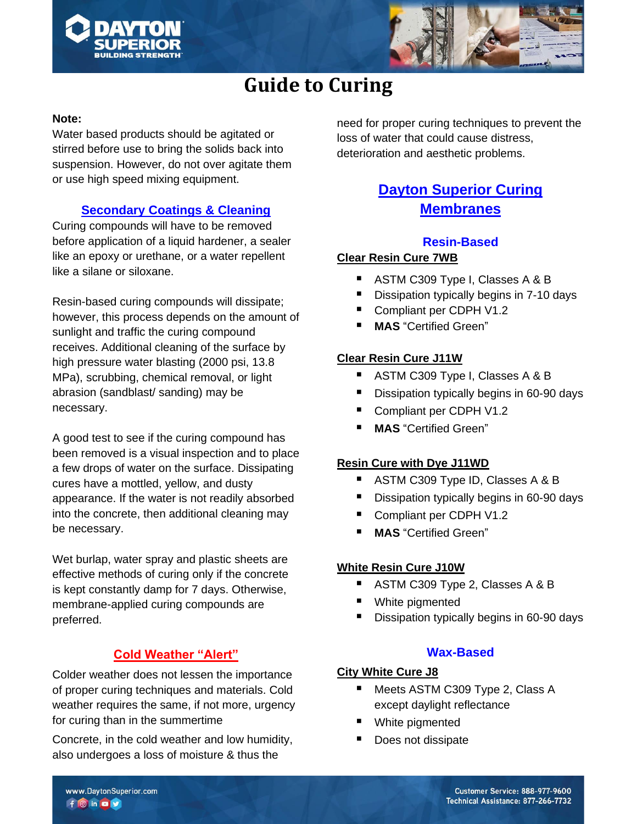



# **Guide to Curing**

#### **Note:**

Water based products should be agitated or stirred before use to bring the solids back into suspension. However, do not over agitate them or use high speed mixing equipment.

## **Secondary Coatings & Cleaning**

Curing compounds will have to be removed before application of a liquid hardener, a sealer like an epoxy or urethane, or a water repellent like a silane or siloxane.

Resin-based curing compounds will dissipate; however, this process depends on the amount of sunlight and traffic the curing compound receives. Additional cleaning of the surface by high pressure water blasting (2000 psi, 13.8 MPa), scrubbing, chemical removal, or light abrasion (sandblast/ sanding) may be necessary.

A good test to see if the curing compound has been removed is a visual inspection and to place a few drops of water on the surface. Dissipating cures have a mottled, yellow, and dusty appearance. If the water is not readily absorbed into the concrete, then additional cleaning may be necessary.

Wet burlap, water spray and plastic sheets are effective methods of curing only if the concrete is kept constantly damp for 7 days. Otherwise, membrane-applied curing compounds are preferred.

## **Cold Weather "Alert"**

Colder weather does not lessen the importance of proper curing techniques and materials. Cold weather requires the same, if not more, urgency for curing than in the summertime

Concrete, in the cold weather and low humidity, also undergoes a loss of moisture & thus the

need for proper curing techniques to prevent the loss of water that could cause distress, deterioration and aesthetic problems.

## **Dayton Superior Curing Membranes**

## **Resin-Based**

#### **Clear Resin Cure 7WB**

- ASTM C309 Type I, Classes A & B
- Dissipation typically begins in 7-10 days
- Compliant per CDPH V1.2
- **MAS** "Certified Green"

## **Clear Resin Cure J11W**

- ASTM C309 Type I, Classes A & B
- Dissipation typically begins in 60-90 days
- Compliant per CDPH V1.2
- **MAS** "Certified Green"

## **Resin Cure with Dye J11WD**

- ASTM C309 Type ID, Classes A & B
- Dissipation typically begins in 60-90 days
- Compliant per CDPH V1.2
- **MAS** "Certified Green"

#### **White Resin Cure J10W**

- ASTM C309 Type 2, Classes A & B
- White pigmented
- Dissipation typically begins in 60-90 days

#### **Wax-Based**

#### **City White Cure J8**

- Meets ASTM C309 Type 2, Class A except daylight reflectance
- White pigmented
- Does not dissipate